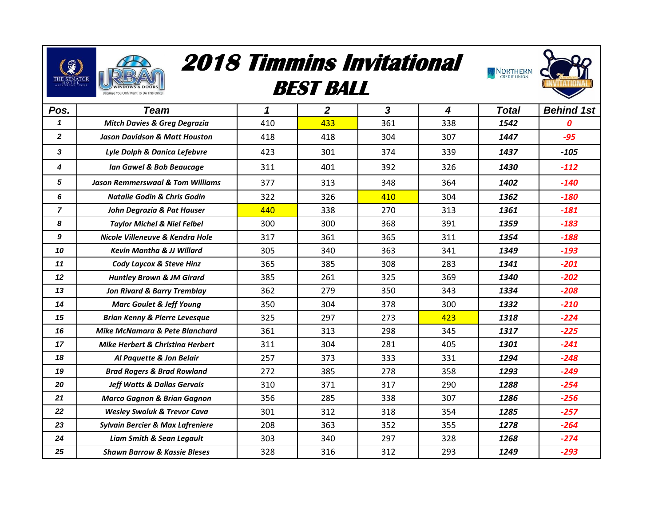

## **2018 Timmins Invitational**

## **BEST BALL**



| Pos.           | <b>Team</b>                                 | 1   | $\overline{2}$ | 3   | 4   | <b>Total</b> | <b>Behind 1st</b> |
|----------------|---------------------------------------------|-----|----------------|-----|-----|--------------|-------------------|
| $\mathbf{1}$   | <b>Mitch Davies &amp; Greg Degrazia</b>     | 410 | 433            | 361 | 338 | 1542         | 0                 |
| $\mathbf{2}$   | <b>Jason Davidson &amp; Matt Houston</b>    | 418 | 418            | 304 | 307 | 1447         | $-95$             |
| 3              | Lyle Dolph & Danica Lefebvre                | 423 | 301            | 374 | 339 | 1437         | $-105$            |
| 4              | <b>Ian Gawel &amp; Bob Beaucage</b>         | 311 | 401            | 392 | 326 | 1430         | $-112$            |
| 5              | <b>Jason Remmerswaal &amp; Tom Williams</b> | 377 | 313            | 348 | 364 | 1402         | $-140$            |
| 6              | <b>Natalie Godin &amp; Chris Godin</b>      | 322 | 326            | 410 | 304 | 1362         | $-180$            |
| $\overline{7}$ | John Degrazia & Pat Hauser                  | 440 | 338            | 270 | 313 | 1361         | $-181$            |
| 8              | <b>Taylor Michel &amp; Niel Felbel</b>      | 300 | 300            | 368 | 391 | 1359         | $-183$            |
| 9              | Nicole Villeneuve & Kendra Hole             | 317 | 361            | 365 | 311 | 1354         | $-188$            |
| 10             | <b>Kevin Mantha &amp; JJ Willard</b>        | 305 | 340            | 363 | 341 | 1349         | $-193$            |
| 11             | Cody Laycox & Steve Hinz                    | 365 | 385            | 308 | 283 | 1341         | $-201$            |
| 12             | <b>Huntley Brown &amp; JM Girard</b>        | 385 | 261            | 325 | 369 | 1340         | $-202$            |
| 13             | <b>Jon Rivard &amp; Barry Tremblay</b>      | 362 | 279            | 350 | 343 | 1334         | $-208$            |
| 14             | <b>Marc Goulet &amp; Jeff Young</b>         | 350 | 304            | 378 | 300 | 1332         | $-210$            |
| 15             | <b>Brian Kenny &amp; Pierre Levesque</b>    | 325 | 297            | 273 | 423 | 1318         | $-224$            |
| 16             | Mike McNamara & Pete Blanchard              | 361 | 313            | 298 | 345 | 1317         | $-225$            |
| 17             | <b>Mike Herbert &amp; Christing Herbert</b> | 311 | 304            | 281 | 405 | 1301         | $-241$            |
| 18             | Al Paquette & Jon Belair                    | 257 | 373            | 333 | 331 | 1294         | $-248$            |
| 19             | <b>Brad Rogers &amp; Brad Rowland</b>       | 272 | 385            | 278 | 358 | 1293         | $-249$            |
| 20             | <b>Jeff Watts &amp; Dallas Gervais</b>      | 310 | 371            | 317 | 290 | 1288         | $-254$            |
| 21             | <b>Marco Gagnon &amp; Brian Gagnon</b>      | 356 | 285            | 338 | 307 | 1286         | $-256$            |
| 22             | <b>Wesley Swoluk &amp; Trevor Cava</b>      | 301 | 312            | 318 | 354 | 1285         | $-257$            |
| 23             | <b>Sylvain Bercier &amp; Max Lafreniere</b> | 208 | 363            | 352 | 355 | 1278         | $-264$            |
| 24             | <b>Liam Smith &amp; Sean Legault</b>        | 303 | 340            | 297 | 328 | 1268         | $-274$            |
| 25             | <b>Shawn Barrow &amp; Kassie Bleses</b>     | 328 | 316            | 312 | 293 | 1249         | $-293$            |